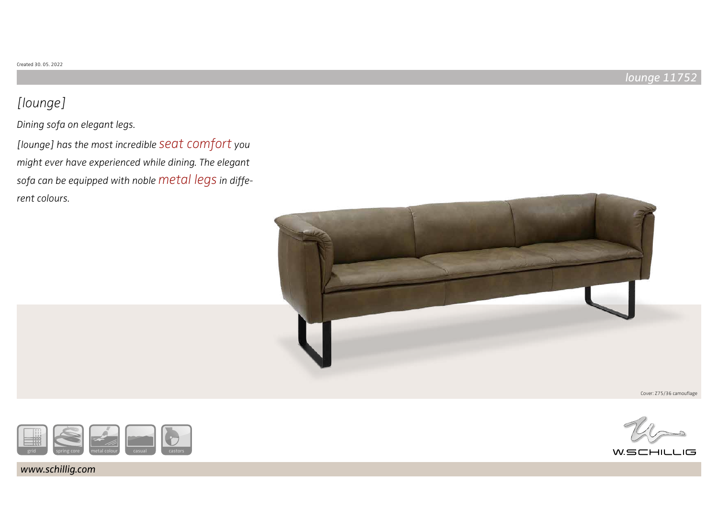# [lounge]

Dining sofa on elegant legs.

[lounge] has the most incredible seat comfort you might ever have experienced while dining. The elegant sofa can be equipped with noble metal legs in different colours.



Cover: Z75/36 camouflage





www.schillig.com

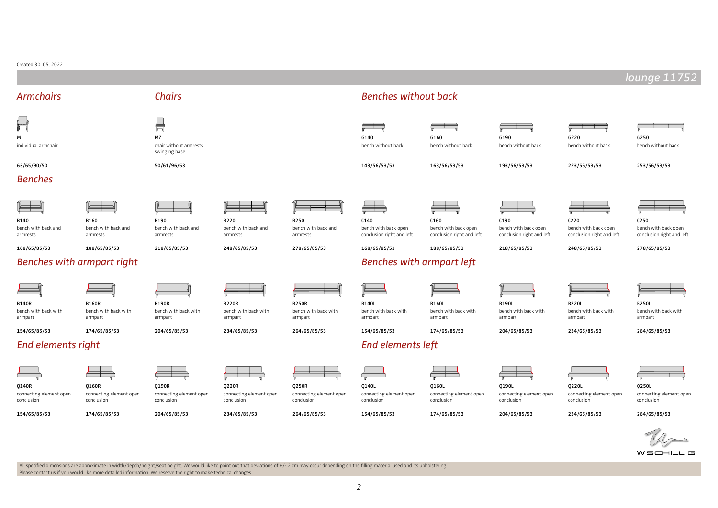#### Created 30. 05. 2022

**The State** 

|                                                         |                                                         |                                                         |                                                         |                                                                |                                                                                                                                    |                                                                           |                                                                           |                                                                           | lounge 1175.                                                              |
|---------------------------------------------------------|---------------------------------------------------------|---------------------------------------------------------|---------------------------------------------------------|----------------------------------------------------------------|------------------------------------------------------------------------------------------------------------------------------------|---------------------------------------------------------------------------|---------------------------------------------------------------------------|---------------------------------------------------------------------------|---------------------------------------------------------------------------|
| <b>Armchairs</b>                                        |                                                         | <b>Chairs</b>                                           |                                                         |                                                                | <b>Benches without back</b>                                                                                                        |                                                                           |                                                                           |                                                                           |                                                                           |
| $\mathbb H$<br>м<br>individual armchair                 |                                                         | 昌<br>MZ<br>chair without armrests<br>swinging base      |                                                         |                                                                | $\equiv$ $\equiv$<br>G140<br>bench without back                                                                                    | G160<br>bench without back                                                | G190<br>bench without back                                                | G220<br>bench without back                                                | G250<br>bench without back                                                |
| 63/65/90/50<br><b>Benches</b>                           |                                                         | 50/61/96/53                                             |                                                         |                                                                | 143/56/53/53                                                                                                                       | 163/56/53/53                                                              | 193/56/53/53                                                              | 223/56/53/53                                                              | 253/56/53/53                                                              |
| B140<br>bench with back and<br>armrests<br>168/65/85/53 | B160<br>bench with back and<br>armrests<br>188/65/85/53 | B190<br>bench with back and<br>armrests<br>218/65/85/53 | B220<br>bench with back and<br>armrests<br>248/65/85/53 | <b>B250</b><br>bench with back and<br>armrests<br>278/65/85/53 | C140<br>bench with back open<br>conclusion right and left<br>168/65/85/53                                                          | C160<br>bench with back open<br>conclusion right and left<br>188/65/85/53 | C190<br>bench with back open<br>conclusion right and left<br>218/65/85/53 | C220<br>bench with back open<br>conclusion right and left<br>248/65/85/53 | C250<br>bench with back open<br>conclusion right and left<br>278/65/85/53 |
|                                                         | Benches with armpart right                              |                                                         |                                                         |                                                                | Benches with armpart left                                                                                                          |                                                                           |                                                                           |                                                                           |                                                                           |
| <b>B140R</b><br>bench with back with<br>armpart         | <b>B160R</b><br>bench with back with<br>armpart         | <b>B190R</b><br>bench with back with<br>armpart         | <b>B220R</b><br>bench with back with<br>armpart         | <b>B250R</b><br>bench with back with<br>armpart                | <b>B140L</b><br>bench with back with<br>armpart                                                                                    | <b>B160L</b><br>bench with back with<br>armpart                           | <b>B190L</b><br>bench with back with<br>armpart                           | <b>B220L</b><br>bench with back with<br>armpart                           | <b>B250L</b><br>bench with back with<br>armpart                           |
| 154/65/85/53<br><b>End elements right</b>               | 174/65/85/53                                            | 204/65/85/53                                            | 234/65/85/53                                            | 264/65/85/53                                                   | 154/65/85/53<br>End elements left                                                                                                  | 174/65/85/53                                                              | 204/65/85/53                                                              | 234/65/85/53                                                              | 264/65/85/53                                                              |
| Q140R<br>connecting element open<br>conclusion          | Q160R<br>connecting element open<br>conclusion          | Q190R<br>connecting element open<br>conclusion          | Q220R<br>connecting element open<br>conclusion          | Q250R<br>connecting element open<br>conclusion                 | $\begin{array}{c} \begin{array}{ccc} \begin{array}{ccc} \end{array} \end{array}$<br>Q140L<br>connecting element open<br>conclusion | Q160L<br>connecting element open<br>conclusion                            | Q190L<br>connecting element open<br>conclusion                            | Q220L<br>connecting element open<br>conclusion                            | Q250L<br>connecting element open<br>conclusion                            |
| 154/65/85/53                                            | 174/65/85/53                                            | 204/65/85/53                                            | 234/65/85/53                                            | 264/65/85/53                                                   | 154/65/85/53                                                                                                                       | 174/65/85/53                                                              | 204/65/85/53                                                              | 234/65/85/53                                                              | 264/65/85/53                                                              |
|                                                         |                                                         |                                                         |                                                         |                                                                |                                                                                                                                    |                                                                           |                                                                           |                                                                           | $\overline{\mathscr{D}}$                                                  |

All specified dimensions are approximate in width/depth/height/seat height. We would like to point out that deviations of +/- 2 cm may occur depending on the filling material used and its upholstering. Please contact us if you would like more detailed information. We reserve the right to make technical changes.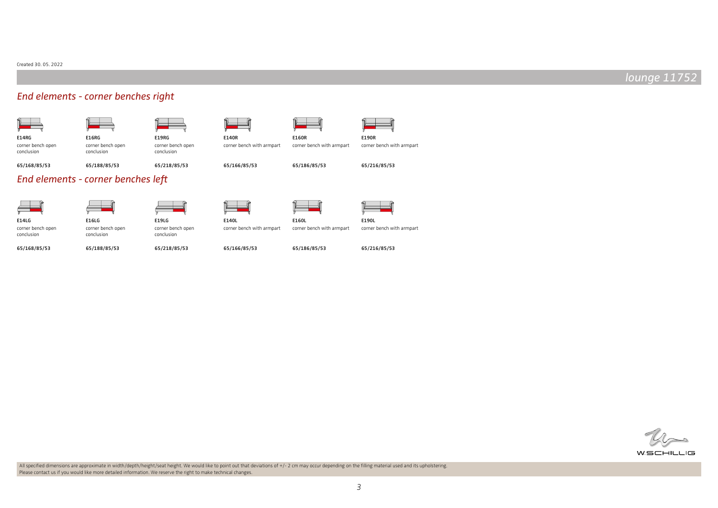## End elements - corner benches right

conclusion

| <b>E14RG</b>      |  |
|-------------------|--|
| corner bench open |  |

| G |  |  |  |
|---|--|--|--|
|   |  |  |  |

| <b>E16RG</b> |  |
|--------------|--|

corner bench open conclusion

| <b>E19RG</b> |  |
|--------------|--|

corner bench open conclusion



65/166/85/53

E140L

65/166/85/53

corner bench with armpart



65/186/85/53



corner bench with armpart corner bench with armpart

65/168/85/53

65/188/85/53

## 65/218/85/53

## End elements - corner benches left

E16LG corner bench open conclusion 65/188/85/53



corner bench open conclusion 65/168/85/53



corner bench open conclusion 65/218/85/53





65/216/85/53

corner bench with armpart corner bench with armpart

65/186/85/53

65/216/85/53

corner bench with armpart





All specified dimensions are approximate in width/depth/height/seat height. We would like to point out that deviations of +/- 2 cm may occur depending on the filling material used and its upholstering. Please contact us if you would like more detailed information. We reserve the right to make technical changes.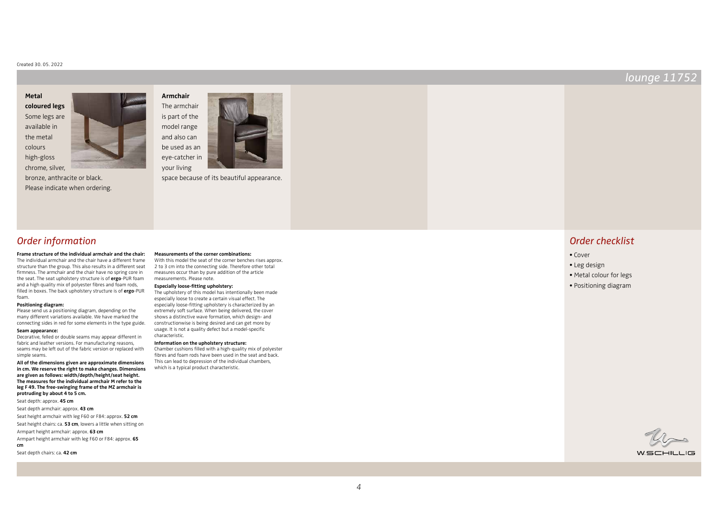**coloured legs** Some legs are available in the metal colours high-gloss

chrome, silver,

**Metal** 



bronze, anthracite or black. Please indicate when ordering.



your living



### Order information

**Frame structure of the individual armchair and the chair:** The individual armchair and the chair have a different frame structure than the group. This also results in a different seat firmness. The armchair and the chair have no spring core in the seat. The seat upholstery structure is of **ergo**-PUR foam and a high quality mix of polyester fibres and foam rods, filled in boxes. The back upholstery structure is of **ergo**-PUR foam.

#### **Positioning diagram:**

Please send us a positioning diagram, depending on the many different variations available. We have marked the connecting sides in red for some elements in the type guide.

#### **Seam appearance:**

Decorative, felled or double seams may appear different in fabric and leather versions. For manufacturing reasons, seams may be left out of the fabric version or replaced with simple seams.

**All of the dimensions given are approximate dimensions in cm. We reserve the right to make changes. Dimensions are given as follows: width/depth/height/seat height. The measures for the individual armchair M refer to the leg F 49. The free-swinging frame of the MZ armchair is protruding by about 4 to 5 cm.**

Seat depth: approx. **45 cm**

Seat depth armchair: approx. **43 cm**

Seat height armchair with leg F60 or F84: approx. **52 cm**

Seat height chairs: ca. **53 cm**, lowers a little when sitting on

Armpart height armchair: approx. **63 cm**

Armpart height armchair with leg F60 or F84: approx. **65 cm**

Seat depth chairs: ca. **42 cm**

**Measurements of the corner combinations:** With this model the seat of the corner benches rises approx. 2 to 3 cm into the connecting side. Therefore other total measures occur than by pure addition of the article

**Especially loose-fitting upholstery:**

measurements. Please note.

The upholstery of this model has intentionally been made especially loose to create a certain visual effect. The especially loose-fitting upholstery is characterized by an extremely soft surface. When being delivered, the cover shows a distinctive wave formation, which design- and constructionwise is being desired and can get more by usage. It is not a quality defect but a model-specific characteristic.

#### **Information on the upholstery structure:**

Chamber cushions filled with a high-quality mix of polyester fibres and foam rods have been used in the seat and back. This can lead to depression of the individual chambers, which is a typical product characteristic.

#### Order checklist

- Cover
- Leg design
- Metal colour for legs
- Positioning diagram

WSCHILLIG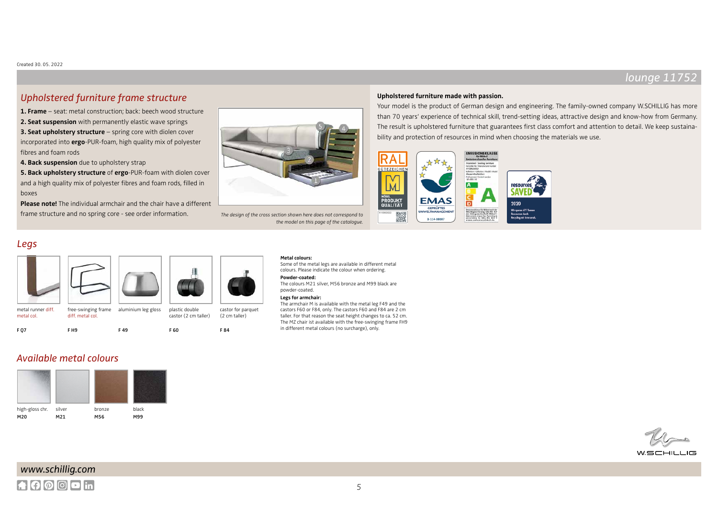### Upholstered furniture frame structure

**1. Frame** – seat: metal construction; back: beech wood structure **2. Seat suspension** with permanently elastic wave springs **3. Seat upholstery structure** – spring core with diolen cover incorporated into **ergo**-PUR-foam, high quality mix of polyester fibres and foam rods

**4. Back suspension** due to upholstery strap

**5. Back upholstery structure** of **ergo**-PUR-foam with diolen cover and a high quality mix of polyester fibres and foam rods, filled in boxes

**Please note!** The individual armchair and the chair have a different frame structure and no spring core - see order information. The design of the cross section shown here does not correspond to



the model on this page of the catalogue.

#### **Upholstered furniture made with passion.**

Your model is the product of German design and engineering. The family-owned company W.SCHILLIG has more than 70 years' experience of technical skill, trend-setting ideas, attractive design and know-how from Germany. The result is upholstered furniture that guarantees first class comfort and attention to detail. We keep sustainability and protection of resources in mind when choosing the materials we use.



#### Legs



### Available metal colours





Some of the metal legs are available in different metal colours. Please indicate the colour when ordering.

#### **Powder-coated:**

The colours M21 silver, M56 bronze and M99 black are powder-coated.

#### **Legs for armchair:**

The armchair M is available with the metal leg F49 and the castors F60 or F84, only. The castors F60 and F84 are 2 cm taller. For that reason the seat height changes to ca. 52 cm. The MZ chair ist available with the free-swinging frame FH9 in different metal colours (no surcharge), only.

 $W$ SCHILI